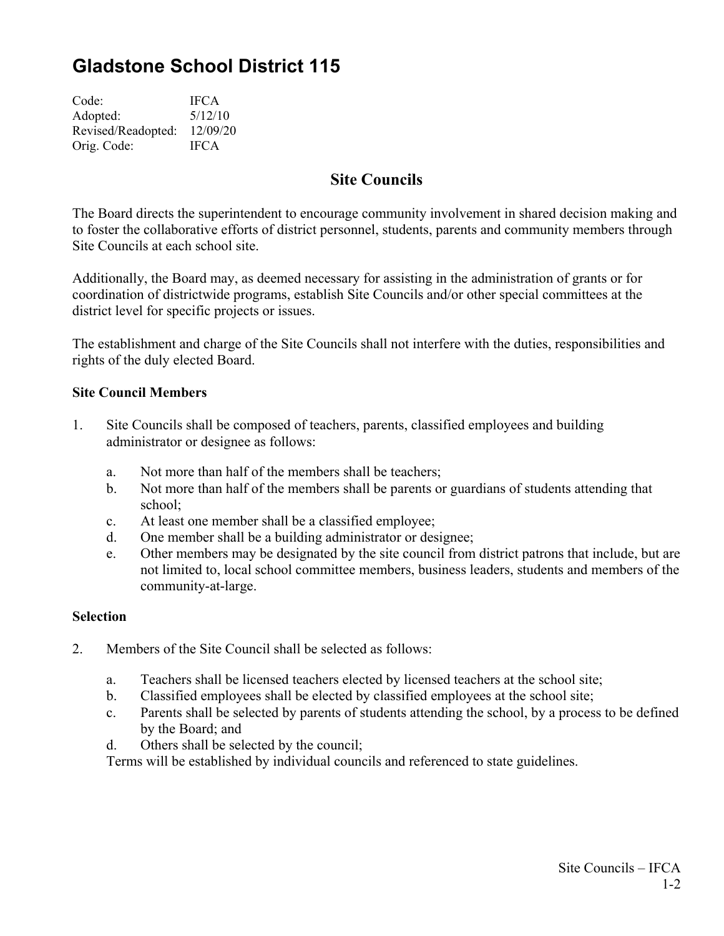# **Gladstone School District 115**

| Code:              | <b>IFCA</b> |
|--------------------|-------------|
| Adopted:           | 5/12/10     |
| Revised/Readopted: | 12/09/20    |
| Orig. Code:        | <b>IFCA</b> |

## **Site Councils**

The Board directs the superintendent to encourage community involvement in shared decision making and to foster the collaborative efforts of district personnel, students, parents and community members through Site Councils at each school site.

Additionally, the Board may, as deemed necessary for assisting in the administration of grants or for coordination of districtwide programs, establish Site Councils and/or other special committees at the district level for specific projects or issues.

The establishment and charge of the Site Councils shall not interfere with the duties, responsibilities and rights of the duly elected Board.

#### **Site Council Members**

- 1. Site Councils shall be composed of teachers, parents, classified employees and building administrator or designee as follows:
	- a. Not more than half of the members shall be teachers;
	- b. Not more than half of the members shall be parents or guardians of students attending that school;
	- c. At least one member shall be a classified employee;
	- d. One member shall be a building administrator or designee;
	- e. Other members may be designated by the site council from district patrons that include, but are not limited to, local school committee members, business leaders, students and members of the community-at-large.

#### **Selection**

- 2. Members of the Site Council shall be selected as follows:
	- a. Teachers shall be licensed teachers elected by licensed teachers at the school site;
	- b. Classified employees shall be elected by classified employees at the school site;
	- c. Parents shall be selected by parents of students attending the school, by a process to be defined by the Board; and
	- d. Others shall be selected by the council;

Terms will be established by individual councils and referenced to state guidelines.